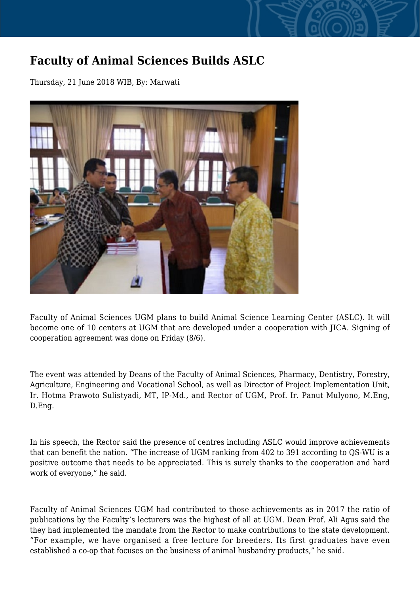## **Faculty of Animal Sciences Builds ASLC**

Thursday, 21 June 2018 WIB, By: Marwati



Faculty of Animal Sciences UGM plans to build Animal Science Learning Center (ASLC). It will become one of 10 centers at UGM that are developed under a cooperation with JICA. Signing of cooperation agreement was done on Friday (8/6).

The event was attended by Deans of the Faculty of Animal Sciences, Pharmacy, Dentistry, Forestry, Agriculture, Engineering and Vocational School, as well as Director of Project Implementation Unit, Ir. Hotma Prawoto Sulistyadi, MT, IP-Md., and Rector of UGM, Prof. Ir. Panut Mulyono, M.Eng, D.Eng.

In his speech, the Rector said the presence of centres including ASLC would improve achievements that can benefit the nation. "The increase of UGM ranking from 402 to 391 according to QS-WU is a positive outcome that needs to be appreciated. This is surely thanks to the cooperation and hard work of everyone," he said.

Faculty of Animal Sciences UGM had contributed to those achievements as in 2017 the ratio of publications by the Faculty's lecturers was the highest of all at UGM. Dean Prof. Ali Agus said the they had implemented the mandate from the Rector to make contributions to the state development. "For example, we have organised a free lecture for breeders. Its first graduates have even established a co-op that focuses on the business of animal husbandry products," he said.